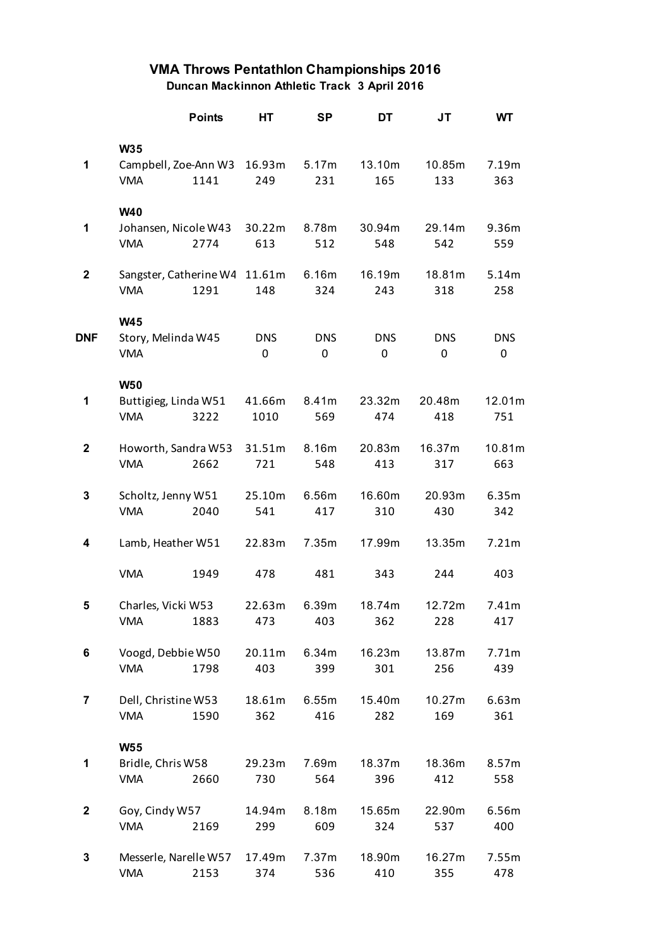## **VMA Throws Pentathlon Championships 2016 Duncan Mackinnon Athletic Track 3 April 2016**

|              |                      | <b>Points</b>          | НT         | SP         | DT         | JT         | WT         |
|--------------|----------------------|------------------------|------------|------------|------------|------------|------------|
|              | <b>W35</b>           |                        |            |            |            |            |            |
| 1            |                      | Campbell, Zoe-Ann W3   | 16.93m     | 5.17m      | 13.10m     | 10.85m     | 7.19m      |
|              | <b>VMA</b>           | 1141                   | 249        | 231        | 165        | 133        | 363        |
|              | <b>W40</b>           |                        |            |            |            |            |            |
| 1            |                      | Johansen, Nicole W43   | 30.22m     | 8.78m      | 30.94m     | 29.14m     | 9.36m      |
|              | <b>VMA</b>           | 2774                   | 613        | 512        | 548        | 542        | 559        |
| $\mathbf{2}$ |                      | Sangster, Catherine W4 | 11.61m     | 6.16m      | 16.19m     | 18.81m     | 5.14m      |
|              | <b>VMA</b>           | 1291                   | 148        | 324        | 243        | 318        | 258        |
|              | <b>W45</b>           |                        |            |            |            |            |            |
| DNF          | Story, Melinda W45   |                        | <b>DNS</b> | <b>DNS</b> | <b>DNS</b> | <b>DNS</b> | <b>DNS</b> |
|              | <b>VMA</b>           |                        | 0          | 0          | 0          | 0          | 0          |
|              | <b>W50</b>           |                        |            |            |            |            |            |
| 1            | Buttigieg, Linda W51 |                        | 41.66m     | 8.41m      | 23.32m     | 20.48m     | 12.01m     |
|              | <b>VMA</b>           | 3222                   | 1010       | 569        | 474        | 418        | 751        |
| $\mathbf 2$  |                      | Howorth, Sandra W53    | 31.51m     | 8.16m      | 20.83m     | 16.37m     | 10.81m     |
|              | <b>VMA</b>           | 2662                   | 721        | 548        | 413        | 317        | 663        |
| 3            | Scholtz, Jenny W51   |                        | 25.10m     | 6.56m      | 16.60m     | 20.93m     | 6.35m      |
|              | <b>VMA</b>           | 2040                   | 541        | 417        | 310        | 430        | 342        |
| 4            | Lamb, Heather W51    |                        | 22.83m     | 7.35m      | 17.99m     | 13.35m     | 7.21m      |
|              | <b>VMA</b>           | 1949                   | 478        | 481        | 343        | 244        | 403        |
| 5            | Charles, Vicki W53   |                        | 22.63m     | 6.39m      | 18.74m     | 12.72m     | 7.41m      |
|              | <b>VMA</b>           | 1883                   | 473        | 403        | 362        | 228        | 417        |
| 6            | Voogd, Debbie W50    |                        | 20.11m     | 6.34m      | 16.23m     | 13.87m     | 7.71m      |
|              | <b>VMA</b>           | 1798                   | 403        | 399        | 301        | 256        | 439        |
| 7            | Dell, Christine W53  |                        | 18.61m     | 6.55m      | 15.40m     | 10.27m     | 6.63m      |
|              | <b>VMA</b>           | 1590                   | 362        | 416        | 282        | 169        | 361        |
|              | <b>W55</b>           |                        |            |            |            |            |            |
| 1            | Bridle, Chris W58    |                        | 29.23m     | 7.69m      | 18.37m     | 18.36m     | 8.57m      |
|              | <b>VMA</b>           | 2660                   | 730        | 564        | 396        | 412        | 558        |
| 2            | Goy, Cindy W57       |                        | 14.94m     | 8.18m      | 15.65m     | 22.90m     | 6.56m      |
|              | <b>VMA</b>           | 2169                   | 299        | 609        | 324        | 537        | 400        |
| 3            |                      | Messerle, Narelle W57  | 17.49m     | 7.37m      | 18.90m     | 16.27m     | 7.55m      |
|              | <b>VMA</b>           | 2153                   | 374        | 536        | 410        | 355        | 478        |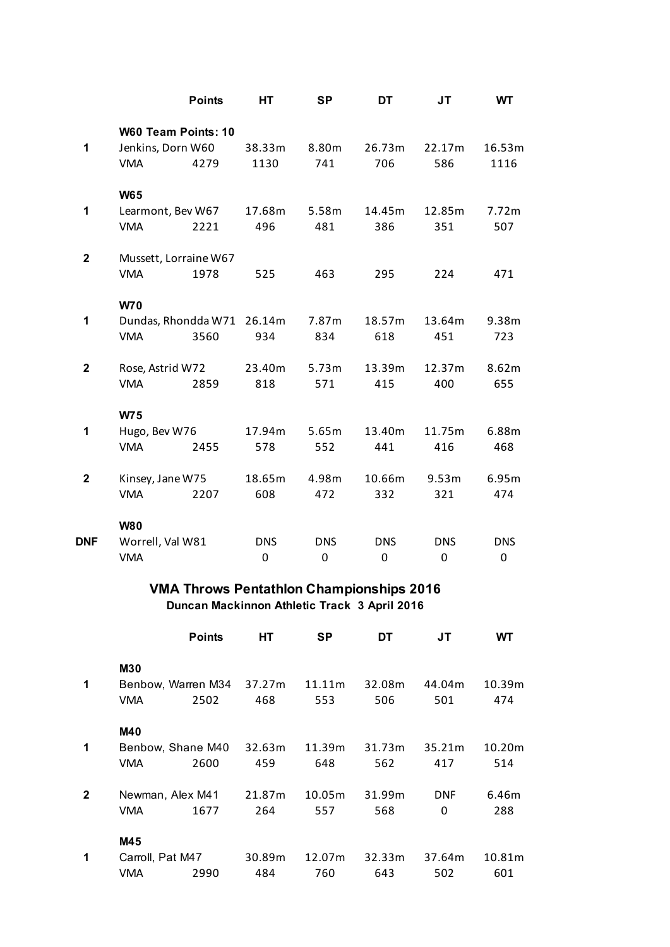|             |                     | <b>Points</b>         | HТ         | <b>SP</b>  | DT         | JT         | WT         |  |  |
|-------------|---------------------|-----------------------|------------|------------|------------|------------|------------|--|--|
|             |                     | W60 Team Points: 10   |            |            |            |            |            |  |  |
| 1           | Jenkins, Dorn W60   |                       | 38.33m     | 8.80m      | 26.73m     | 22.17m     | 16.53m     |  |  |
|             | <b>VMA</b>          | 4279                  | 1130       | 741        | 706        | 586        | 1116       |  |  |
|             | <b>W65</b>          |                       |            |            |            |            |            |  |  |
| 1           | Learmont, Bev W67   |                       | 17.68m     | 5.58m      | 14.45m     | 12.85m     | 7.72m      |  |  |
|             | <b>VMA</b>          | 2221                  | 496        | 481        | 386        | 351        | 507        |  |  |
| $\mathbf 2$ |                     | Mussett, Lorraine W67 |            |            |            |            |            |  |  |
|             | <b>VMA</b>          | 1978                  | 525        | 463        | 295        | 224        | 471        |  |  |
|             | <b>W70</b>          |                       |            |            |            |            |            |  |  |
| 1           | Dundas, Rhondda W71 |                       | 26.14m     | 7.87m      | 18.57m     | 13.64m     | 9.38m      |  |  |
|             | <b>VMA</b>          | 3560                  | 934        | 834        | 618        | 451        | 723        |  |  |
| $\mathbf 2$ | Rose, Astrid W72    |                       | 23.40m     | 5.73m      | 13.39m     | 12.37m     | 8.62m      |  |  |
|             | <b>VMA</b>          | 2859                  | 818        | 571        | 415        | 400        | 655        |  |  |
|             | <b>W75</b>          |                       |            |            |            |            |            |  |  |
| 1           | Hugo, Bev W76       |                       | 17.94m     | 5.65m      | 13.40m     | 11.75m     | 6.88m      |  |  |
|             | <b>VMA</b>          | 2455                  | 578        | 552        | 441        | 416        | 468        |  |  |
| $\mathbf 2$ | Kinsey, Jane W75    |                       | 18.65m     | 4.98m      | 10.66m     | 9.53m      | 6.95m      |  |  |
|             | <b>VMA</b>          | 2207                  | 608        | 472        | 332        | 321        | 474        |  |  |
|             | <b>W80</b>          |                       |            |            |            |            |            |  |  |
| <b>DNF</b>  | Worrell, Val W81    |                       | <b>DNS</b> | <b>DNS</b> | <b>DNS</b> | <b>DNS</b> | <b>DNS</b> |  |  |
|             | <b>VMA</b>          |                       | 0          | 0          | 0          | 0          | 0          |  |  |
|             |                     |                       |            |            |            |            |            |  |  |

## **VMA Throws Pentathlon Championships 2016 Duncan Mackinnon Athletic Track 3 April 2016**

|              |                  | <b>Points</b>      | HТ     | SP     | DT     | JT         | WТ     |
|--------------|------------------|--------------------|--------|--------|--------|------------|--------|
|              | <b>M30</b>       |                    |        |        |        |            |        |
| 1            |                  | Benbow, Warren M34 | 37.27m | 11.11m | 32.08m | 44.04m     | 10.39m |
|              | <b>VMA</b>       | 2502               | 468    | 553    | 506    | 501        | 474    |
|              | <b>M40</b>       |                    |        |        |        |            |        |
| 1            |                  | Benbow, Shane M40  | 32.63m | 11.39m | 31.73m | 35.21m     | 10.20m |
|              | <b>VMA</b>       | 2600               | 459    | 648    | 562    | 417        | 514    |
| $\mathbf{2}$ | Newman, Alex M41 |                    | 21.87m | 10.05m | 31.99m | <b>DNF</b> | 6.46m  |
|              | <b>VMA</b>       | 1677               | 264    | 557    | 568    | 0          | 288    |
|              | M45              |                    |        |        |        |            |        |
| 1            |                  | Carroll, Pat M47   |        | 12.07m | 32.33m | 37.64m     | 10.81m |
|              | VMA              | 2990               | 484    | 760    | 643    | 502        | 601    |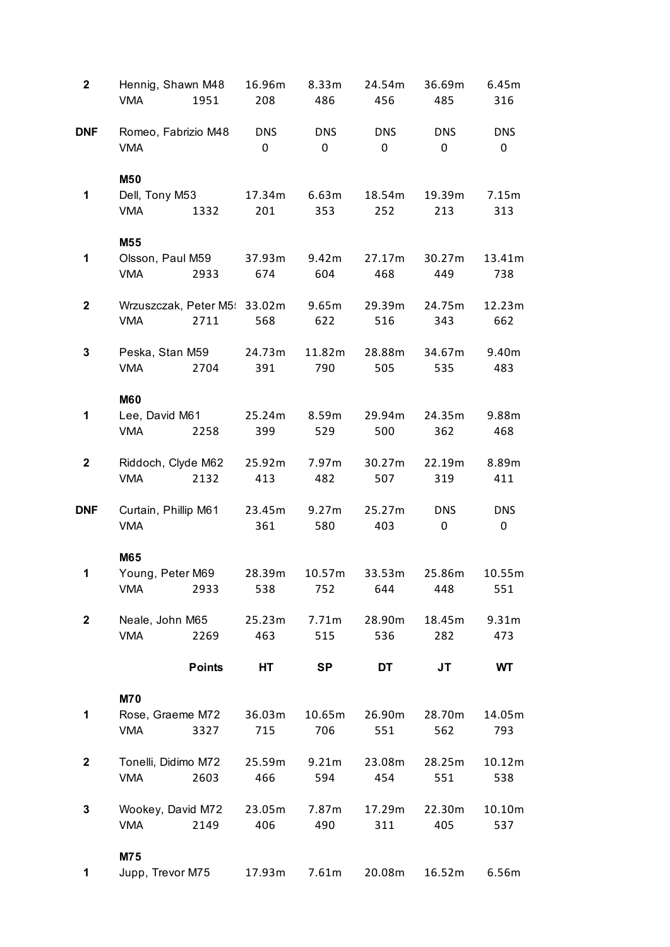| $\mathbf 2$  | Hennig, Shawn M48<br><b>VMA</b><br>1951              | 16.96m<br>208   | 8.33m<br>486    | 24.54m<br>456   | 36.69m<br>485   | 6.45m<br>316            |
|--------------|------------------------------------------------------|-----------------|-----------------|-----------------|-----------------|-------------------------|
| <b>DNF</b>   | Romeo, Fabrizio M48<br><b>VMA</b>                    | <b>DNS</b><br>0 | <b>DNS</b><br>0 | <b>DNS</b><br>0 | <b>DNS</b><br>0 | <b>DNS</b><br>0         |
| 1            | M50<br>Dell, Tony M53<br><b>VMA</b><br>1332          | 17.34m<br>201   | 6.63m<br>353    | 18.54m<br>252   | 19.39m<br>213   | 7.15m<br>313            |
| 1            | M55<br>Olsson, Paul M59<br>2933<br><b>VMA</b>        | 37.93m<br>674   | 9.42m<br>604    | 27.17m<br>468   | 30.27m<br>449   | 13.41m<br>738           |
| $\mathbf 2$  | Wrzuszczak, Peter M5: 33.02m<br><b>VMA</b><br>2711   | 568             | 9.65m<br>622    | 29.39m<br>516   | 24.75m<br>343   | 12.23m<br>662           |
| 3            | Peska, Stan M59<br>2704<br><b>VMA</b>                | 24.73m<br>391   | 11.82m<br>790   | 28.88m<br>505   | 34.67m<br>535   | 9.40m<br>483            |
| 1            | <b>M60</b><br>Lee, David M61<br><b>VMA</b><br>2258   | 25.24m<br>399   | 8.59m<br>529    | 29.94m<br>500   | 24.35m<br>362   | 9.88m<br>468            |
| $\mathbf 2$  | Riddoch, Clyde M62<br><b>VMA</b><br>2132             | 25.92m<br>413   | 7.97m<br>482    | 30.27m<br>507   | 22.19m<br>319   | 8.89m<br>411            |
| <b>DNF</b>   | Curtain, Phillip M61<br><b>VMA</b>                   | 23.45m<br>361   | 9.27m<br>580    | 25.27m<br>403   | <b>DNS</b><br>0 | <b>DNS</b><br>$\pmb{0}$ |
| 1            | M65<br>Young, Peter M69<br><b>VMA</b><br>2933        | 28.39m<br>538   | 10.57m<br>752   | 33.53m<br>644   | 25.86m<br>448   | 10.55m<br>551           |
| $\mathbf{2}$ | Neale, John M65<br><b>VMA</b><br>2269                | 25.23m<br>463   | 7.71m<br>515    | 28.90m<br>536   | 18.45m<br>282   | 9.31m<br>473            |
|              | <b>Points</b>                                        | НT              | <b>SP</b>       | DT              | JT              | WT                      |
| 1            | <b>M70</b><br>Rose, Graeme M72<br><b>VMA</b><br>3327 | 36.03m<br>715   | 10.65m<br>706   | 26.90m<br>551   | 28.70m<br>562   | 14.05m<br>793           |
| $\mathbf 2$  | Tonelli, Didimo M72<br>2603<br><b>VMA</b>            | 25.59m<br>466   | 9.21m<br>594    | 23.08m<br>454   | 28.25m<br>551   | 10.12m<br>538           |
| 3            | Wookey, David M72<br>2149<br><b>VMA</b>              | 23.05m<br>406   | 7.87m<br>490    | 17.29m<br>311   | 22.30m<br>405   | 10.10m<br>537           |
| 1            | M75<br>Jupp, Trevor M75                              | 17.93m          | 7.61m           | 20.08m          | 16.52m          | 6.56m                   |